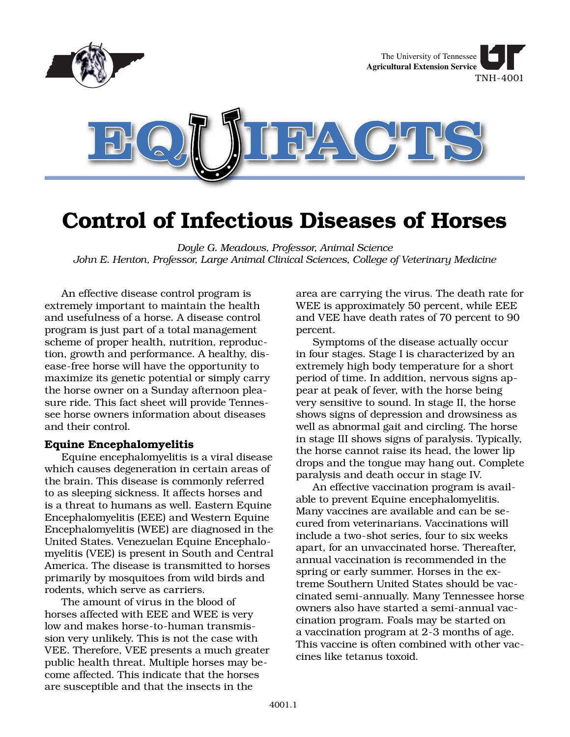

# **Control of Infectious Diseases of Horses**

*Doyle G. Meadows, Professor, Animal Science John E. Henton, Professor, Large Animal Clinical Sciences, College of Veterinary Medicine*

An effective disease control program is extremely important to maintain the health and usefulness of a horse. A disease control program is just part of a total management scheme of proper health, nutrition, reproduction, growth and performance. A healthy, disease-free horse will have the opportunity to maximize its genetic potential or simply carry the horse owner on a Sunday afternoon pleasure ride. This fact sheet will provide Tennessee horse owners information about diseases and their control.

# **Equine Encephalomyelitis**

Equine encephalomyelitis is a viral disease which causes degeneration in certain areas of the brain. This disease is commonly referred to as sleeping sickness. It affects horses and is a threat to humans as well. Eastern Equine Encephalomyelitis (EEE) and Western Equine Encephalomyelitis (WEE) are diagnosed in the United States. Venezuelan Equine Encephalomyelitis (VEE) is present in South and Central America. The disease is transmitted to horses primarily by mosquitoes from wild birds and rodents, which serve as carriers.

The amount of virus in the blood of horses affected with EEE and WEE is very low and makes horse-to-human transmission very unlikely. This is not the case with VEE. Therefore, VEE presents a much greater public health threat. Multiple horses may become affected. This indicate that the horses are susceptible and that the insects in the

area are carrying the virus. The death rate for WEE is approximately 50 percent, while EEE and VEE have death rates of 70 percent to 90 percent.

Symptoms of the disease actually occur in four stages. Stage I is characterized by an extremely high body temperature for a short period of time. In addition, nervous signs appear at peak of fever, with the horse being very sensitive to sound. In stage II, the horse shows signs of depression and drowsiness as well as abnormal gait and circling. The horse in stage III shows signs of paralysis. Typically, the horse cannot raise its head, the lower lip drops and the tongue may hang out. Complete paralysis and death occur in stage IV.

An effective vaccination program is available to prevent Equine encephalomyelitis. Many vaccines are available and can be secured from veterinarians. Vaccinations will include a two-shot series, four to six weeks apart, for an unvaccinated horse. Thereafter, annual vaccination is recommended in the spring or early summer. Horses in the extreme Southern United States should be vaccinated semi-annually. Many Tennessee horse owners also have started a semi-annual vaccination program. Foals may be started on a vaccination program at 2-3 months of age. This vaccine is often combined with other vaccines like tetanus toxoid.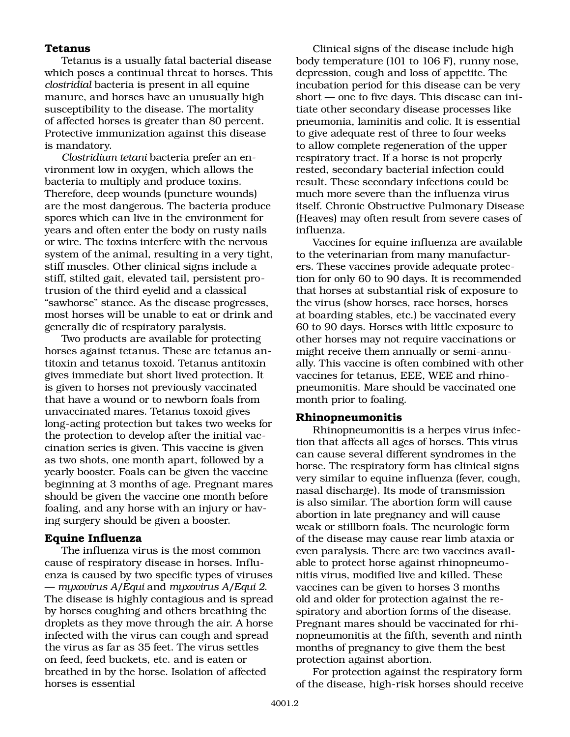# **Tetanus**

Tetanus is a usually fatal bacterial disease which poses a continual threat to horses. This *clostridial* bacteria is present in all equine manure, and horses have an unusually high susceptibility to the disease. The mortality of affected horses is greater than 80 percent. Protective immunization against this disease is mandatory.

*Clostridium tetani* bacteria prefer an environment low in oxygen, which allows the bacteria to multiply and produce toxins. Therefore, deep wounds (puncture wounds) are the most dangerous. The bacteria produce spores which can live in the environment for years and often enter the body on rusty nails or wire. The toxins interfere with the nervous system of the animal, resulting in a very tight, stiff muscles. Other clinical signs include a stiff, stilted gait, elevated tail, persistent protrusion of the third eyelid and a classical "sawhorse" stance. As the disease progresses, most horses will be unable to eat or drink and generally die of respiratory paralysis.

Two products are available for protecting horses against tetanus. These are tetanus antitoxin and tetanus toxoid. Tetanus antitoxin gives immediate but short lived protection. It is given to horses not previously vaccinated that have a wound or to newborn foals from unvaccinated mares. Tetanus toxoid gives long-acting protection but takes two weeks for the protection to develop after the initial vaccination series is given. This vaccine is given as two shots, one month apart, followed by a yearly booster. Foals can be given the vaccine beginning at 3 months of age. Pregnant mares should be given the vaccine one month before foaling, and any horse with an injury or having surgery should be given a booster.

# **Equine Influenza**

The influenza virus is the most common cause of respiratory disease in horses. Influenza is caused by two specific types of viruses — *myxovirus A/Equi* and *myxovirus A/Equi 2*. The disease is highly contagious and is spread by horses coughing and others breathing the droplets as they move through the air. A horse infected with the virus can cough and spread the virus as far as 35 feet. The virus settles on feed, feed buckets, etc. and is eaten or breathed in by the horse. Isolation of affected horses is essential

Clinical signs of the disease include high body temperature (101 to 106 F), runny nose, depression, cough and loss of appetite. The incubation period for this disease can be very short — one to five days. This disease can initiate other secondary disease processes like pneumonia, laminitis and colic. It is essential to give adequate rest of three to four weeks to allow complete regeneration of the upper respiratory tract. If a horse is not properly rested, secondary bacterial infection could result. These secondary infections could be much more severe than the influenza virus itself. Chronic Obstructive Pulmonary Disease (Heaves) may often result from severe cases of influenza.

Vaccines for equine influenza are available to the veterinarian from many manufacturers. These vaccines provide adequate protection for only 60 to 90 days. It is recommended that horses at substantial risk of exposure to the virus (show horses, race horses, horses at boarding stables, etc.) be vaccinated every 60 to 90 days. Horses with little exposure to other horses may not require vaccinations or might receive them annually or semi-annually. This vaccine is often combined with other vaccines for tetanus, EEE, WEE and rhinopneumonitis. Mare should be vaccinated one month prior to foaling.

# **Rhinopneumonitis**

Rhinopneumonitis is a herpes virus infection that affects all ages of horses. This virus can cause several different syndromes in the horse. The respiratory form has clinical signs very similar to equine influenza (fever, cough, nasal discharge). Its mode of transmission is also similar. The abortion form will cause abortion in late pregnancy and will cause weak or stillborn foals. The neurologic form of the disease may cause rear limb ataxia or even paralysis. There are two vaccines available to protect horse against rhinopneumonitis virus, modified live and killed. These vaccines can be given to horses 3 months old and older for protection against the respiratory and abortion forms of the disease. Pregnant mares should be vaccinated for rhinopneumonitis at the fifth, seventh and ninth months of pregnancy to give them the best protection against abortion.

For protection against the respiratory form of the disease, high-risk horses should receive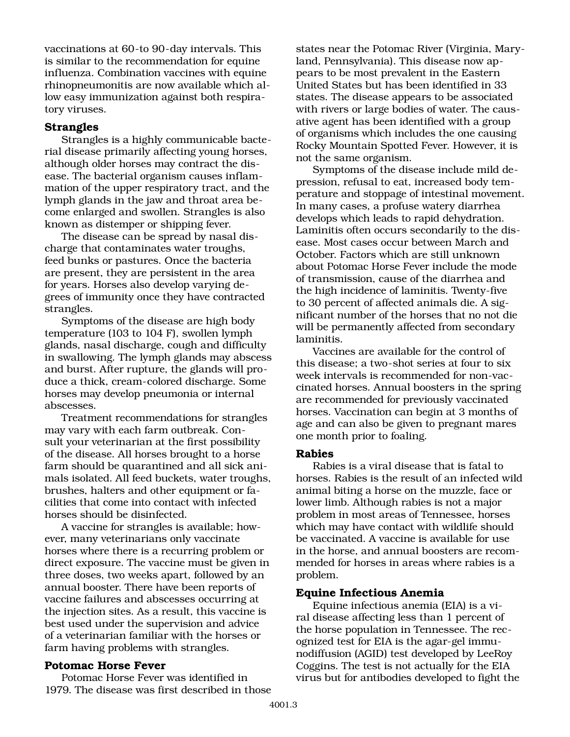vaccinations at 60-to 90-day intervals. This is similar to the recommendation for equine influenza. Combination vaccines with equine rhinopneumonitis are now available which allow easy immunization against both respiratory viruses.

# **Strangles**

Strangles is a highly communicable bacterial disease primarily affecting young horses, although older horses may contract the disease. The bacterial organism causes inflammation of the upper respiratory tract, and the lymph glands in the jaw and throat area become enlarged and swollen. Strangles is also known as distemper or shipping fever.

The disease can be spread by nasal discharge that contaminates water troughs, feed bunks or pastures. Once the bacteria are present, they are persistent in the area for years. Horses also develop varying degrees of immunity once they have contracted strangles.

Symptoms of the disease are high body temperature (103 to 104 F), swollen lymph glands, nasal discharge, cough and difficulty in swallowing. The lymph glands may abscess and burst. After rupture, the glands will produce a thick, cream-colored discharge. Some horses may develop pneumonia or internal abscesses.

Treatment recommendations for strangles may vary with each farm outbreak. Consult your veterinarian at the first possibility of the disease. All horses brought to a horse farm should be quarantined and all sick animals isolated. All feed buckets, water troughs, brushes, halters and other equipment or facilities that come into contact with infected horses should be disinfected.

A vaccine for strangles is available; however, many veterinarians only vaccinate horses where there is a recurring problem or direct exposure. The vaccine must be given in three doses, two weeks apart, followed by an annual booster. There have been reports of vaccine failures and abscesses occurring at the injection sites. As a result, this vaccine is best used under the supervision and advice of a veterinarian familiar with the horses or farm having problems with strangles.

# **Potomac Horse Fever**

Potomac Horse Fever was identified in 1979. The disease was first described in those states near the Potomac River (Virginia, Maryland, Pennsylvania). This disease now appears to be most prevalent in the Eastern United States but has been identified in 33 states. The disease appears to be associated with rivers or large bodies of water. The causative agent has been identified with a group of organisms which includes the one causing Rocky Mountain Spotted Fever. However, it is not the same organism.

Symptoms of the disease include mild depression, refusal to eat, increased body temperature and stoppage of intestinal movement. In many cases, a profuse watery diarrhea develops which leads to rapid dehydration. Laminitis often occurs secondarily to the disease. Most cases occur between March and October. Factors which are still unknown about Potomac Horse Fever include the mode of transmission, cause of the diarrhea and the high incidence of laminitis. Twenty-five to 30 percent of affected animals die. A significant number of the horses that no not die will be permanently affected from secondary laminitis.

Vaccines are available for the control of this disease; a two-shot series at four to six week intervals is recommended for non-vaccinated horses. Annual boosters in the spring are recommended for previously vaccinated horses. Vaccination can begin at 3 months of age and can also be given to pregnant mares one month prior to foaling.

## **Rabies**

Rabies is a viral disease that is fatal to horses. Rabies is the result of an infected wild animal biting a horse on the muzzle, face or lower limb. Although rabies is not a major problem in most areas of Tennessee, horses which may have contact with wildlife should be vaccinated. A vaccine is available for use in the horse, and annual boosters are recommended for horses in areas where rabies is a problem.

# **Equine Infectious Anemia**

Equine infectious anemia (EIA) is a viral disease affecting less than 1 percent of the horse population in Tennessee. The recognized test for EIA is the agar-gel immunodiffusion (AGID) test developed by LeeRoy Coggins. The test is not actually for the EIA virus but for antibodies developed to fight the